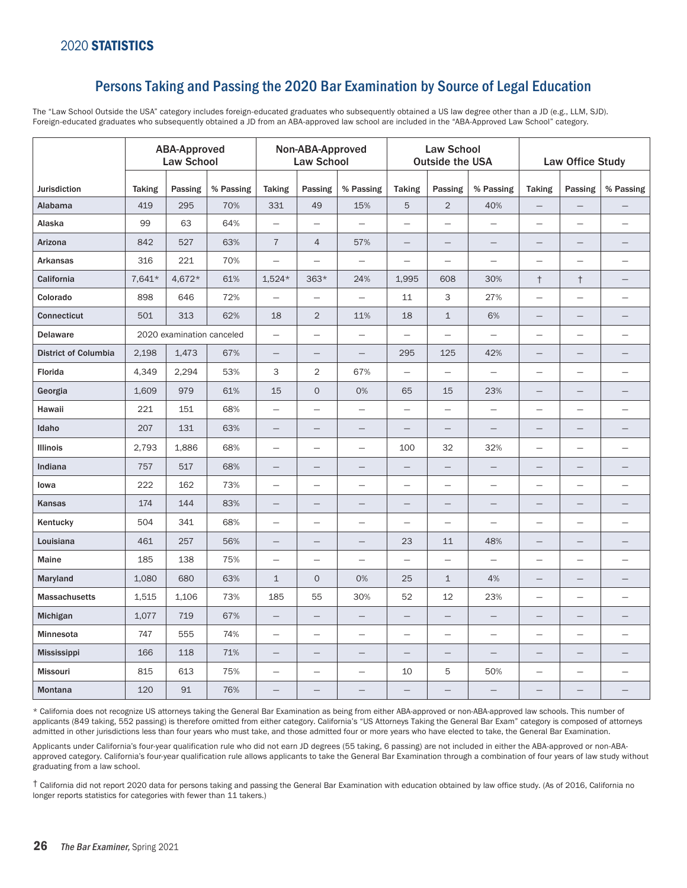## Persons Taking and Passing the 2020 Bar Examination by Source of Legal Education

The "Law School Outside the USA" category includes foreign-educated graduates who subsequently obtained a US law degree other than a JD (e.g., LLM, SJD). Foreign-educated graduates who subsequently obtained a JD from an ABA-approved law school are included in the "ABA-Approved Law School" category.

|                      | <b>ABA-Approved</b><br><b>Law School</b> |         |           | Non-ABA-Approved<br><b>Law School</b> |                          |                          |                          | <b>Law School</b><br><b>Outside the USA</b> |                          | Law Office Study         |                          |                          |
|----------------------|------------------------------------------|---------|-----------|---------------------------------------|--------------------------|--------------------------|--------------------------|---------------------------------------------|--------------------------|--------------------------|--------------------------|--------------------------|
| Jurisdiction         | <b>Taking</b>                            | Passing | % Passing | <b>Taking</b>                         | Passing                  | % Passing                | <b>Taking</b>            | Passing                                     | % Passing                | <b>Taking</b>            | Passing                  | % Passing                |
| Alabama              | 419                                      | 295     | 70%       | 331                                   | 49                       | 15%                      | 5                        | $\overline{2}$                              | 40%                      | $\qquad \qquad -$        |                          |                          |
| Alaska               | 99                                       | 63      | 64%       | $\equiv$                              | $\overline{\phantom{0}}$ | $\overline{\phantom{0}}$ | $\overline{\phantom{0}}$ | $\overline{\phantom{0}}$                    | $\overline{\phantom{0}}$ | $\overline{\phantom{0}}$ | $\equiv$                 | $\overline{\phantom{0}}$ |
| Arizona              | 842                                      | 527     | 63%       | $\sqrt{7}$                            | 4                        | 57%                      | $\qquad \qquad -$        | $\qquad \qquad$                             |                          | $\qquad \qquad -$        |                          |                          |
| <b>Arkansas</b>      | 316                                      | 221     | 70%       | $\overline{\phantom{0}}$              | $\overline{\phantom{0}}$ | $\overline{\phantom{m}}$ | $\overline{\phantom{m}}$ |                                             |                          | $\qquad \qquad -$        |                          | $\overline{\phantom{0}}$ |
| California           | 7,641*                                   | 4,672*  | 61%       | $1,524*$                              | $363*$                   | 24%                      | 1,995                    | 608                                         | 30%                      | $^\dagger$               | $^\dagger$               |                          |
| Colorado             | 898                                      | 646     | 72%       | $\overline{\phantom{0}}$              |                          | $\equiv$                 | 11                       | 3                                           | 27%                      | $\equiv$                 |                          |                          |
| <b>Connecticut</b>   | 501                                      | 313     | 62%       | 18                                    | $\overline{2}$           | 11%                      | 18                       | $\mathbf{1}$                                | 6%                       | $\overline{\phantom{0}}$ |                          |                          |
| <b>Delaware</b>      | 2020 examination canceled                |         |           | $\overline{\phantom{0}}$              |                          | $\frac{1}{2}$            | $\equiv$                 |                                             | $\overline{\phantom{m}}$ | $\overline{\phantom{m}}$ |                          | $\overline{\phantom{0}}$ |
| District of Columbia | 2,198                                    | 1,473   | 67%       |                                       | $\overline{\phantom{0}}$ | $\overline{\phantom{0}}$ | 295                      | 125                                         | 42%                      | $\qquad \qquad -$        |                          | $\overline{\phantom{0}}$ |
| Florida              | 4,349                                    | 2,294   | 53%       | 3                                     | 2                        | 67%                      | $\overline{\phantom{m}}$ | $\qquad \qquad -$                           | $\overline{\phantom{m}}$ | $\overline{\phantom{m}}$ | $\overline{\phantom{m}}$ |                          |
| Georgia              | 1,609                                    | 979     | 61%       | 15                                    | $\circ$                  | 0%                       | 65                       | 15                                          | 23%                      | $\overline{\phantom{0}}$ |                          |                          |
| Hawaii               | 221                                      | 151     | 68%       | $\equiv$                              |                          | $\frac{1}{2}$            | $\overline{\phantom{m}}$ |                                             |                          | $\overline{\phantom{m}}$ |                          | $\overline{\phantom{0}}$ |
| Idaho                | 207                                      | 131     | 63%       | $\qquad \qquad -$                     | —                        | $\overline{\phantom{0}}$ | $=$                      |                                             |                          | $\qquad \qquad -$        | $\overline{\phantom{0}}$ |                          |
| Illinois             | 2,793                                    | 1,886   | 68%       | $\equiv$                              |                          | $\overline{\phantom{m}}$ | 100                      | 32                                          | 32%                      | $\overline{\phantom{m}}$ | $\qquad \qquad -$        |                          |
| Indiana              | 757                                      | 517     | 68%       | —                                     | $\overline{\phantom{0}}$ |                          |                          |                                             |                          | $\overline{\phantom{0}}$ |                          |                          |
| lowa                 | 222                                      | 162     | 73%       | $\overline{\phantom{0}}$              | $\overline{\phantom{0}}$ |                          | $\overline{\phantom{m}}$ | $\overline{\phantom{0}}$                    | $\overline{\phantom{m}}$ | $\overline{\phantom{m}}$ | $\qquad \qquad -$        |                          |
| Kansas               | 174                                      | 144     | 83%       | —                                     | -                        |                          |                          |                                             |                          | —                        |                          |                          |
| Kentucky             | 504                                      | 341     | 68%       | $\overline{\phantom{0}}$              | $\overline{\phantom{0}}$ | $\overline{\phantom{m}}$ | $\overline{\phantom{0}}$ | $\overline{\phantom{0}}$                    | $\overline{\phantom{m}}$ | $\overline{\phantom{0}}$ | $\qquad \qquad -$        | $\overline{\phantom{0}}$ |
| Louisiana            | 461                                      | 257     | 56%       | —                                     | —                        |                          | 23                       | 11                                          | 48%                      |                          |                          |                          |
| Maine                | 185                                      | 138     | 75%       | $\equiv$                              | $\equiv$                 | $\overline{\phantom{m}}$ | $\overline{\phantom{0}}$ | $\equiv$                                    | $\overline{\phantom{m}}$ | $\overline{\phantom{m}}$ | $\qquad \qquad -$        | $\overline{\phantom{0}}$ |
| Maryland             | 1,080                                    | 680     | 63%       | $\mathbf{1}$                          | $\circ$                  | 0%                       | 25                       | $\mathbf{1}$                                | 4%                       | $\overline{\phantom{0}}$ |                          |                          |
| <b>Massachusetts</b> | 1,515                                    | 1,106   | 73%       | 185                                   | 55                       | 30%                      | 52                       | 12                                          | 23%                      | $\overline{\phantom{0}}$ | $\qquad \qquad -$        |                          |
| Michigan             | 1,077                                    | 719     | 67%       | $\qquad \qquad -$                     | $\overline{\phantom{0}}$ |                          | $\qquad \qquad -$        | $\overline{\phantom{0}}$                    |                          | $\qquad \qquad -$        |                          |                          |
| Minnesota            | 747                                      | 555     | 74%       | $\overline{\phantom{0}}$              | $\qquad \qquad -$        | $\overline{\phantom{m}}$ | $\qquad \qquad -$        |                                             | $\overline{\phantom{m}}$ | $\overline{\phantom{m}}$ |                          |                          |
| <b>Mississippi</b>   | 166                                      | 118     | 71%       |                                       | $\overline{\phantom{0}}$ | $\qquad \qquad -$        |                          |                                             |                          | $\qquad \qquad -$        |                          | $\overline{\phantom{0}}$ |
| <b>Missouri</b>      | 815                                      | 613     | 75%       | $\qquad \qquad -$                     |                          | $\overline{\phantom{m}}$ | 10                       | 5                                           | 50%                      | $\overline{\phantom{m}}$ |                          |                          |
| Montana              | 120                                      | 91      | 76%       | -                                     | —                        |                          |                          |                                             |                          |                          |                          | $\overline{\phantom{0}}$ |

\* California does not recognize US attorneys taking the General Bar Examination as being from either ABA-approved or non-ABA-approved law schools. This number of applicants (849 taking, 552 passing) is therefore omitted from either category. California's "US Attorneys Taking the General Bar Exam" category is composed of attorneys admitted in other jurisdictions less than four years who must take, and those admitted four or more years who have elected to take, the General Bar Examination.

Applicants under California's four-year qualification rule who did not earn JD degrees (55 taking, 6 passing) are not included in either the ABA-approved or non-ABAapproved category. California's four-year qualification rule allows applicants to take the General Bar Examination through a combination of four years of law study without graduating from a law school.

† California did not report 2020 data for persons taking and passing the General Bar Examination with education obtained by law office study. (As of 2016, California no longer reports statistics for categories with fewer than 11 takers.)